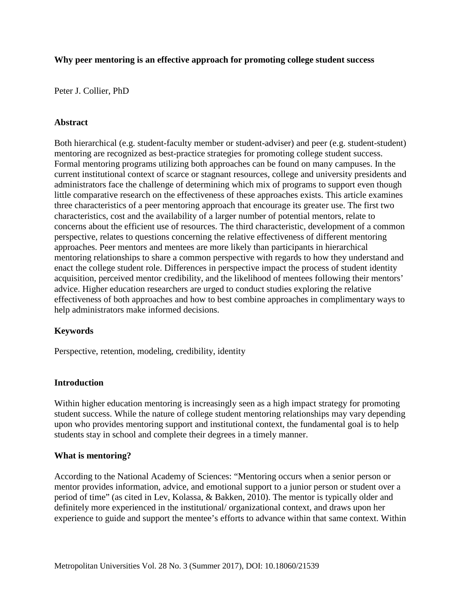### **Why peer mentoring is an effective approach for promoting college student success**

Peter J. Collier, PhD

#### **Abstract**

Both hierarchical (e.g. student-faculty member or student-adviser) and peer (e.g. student-student) mentoring are recognized as best-practice strategies for promoting college student success. Formal mentoring programs utilizing both approaches can be found on many campuses. In the current institutional context of scarce or stagnant resources, college and university presidents and administrators face the challenge of determining which mix of programs to support even though little comparative research on the effectiveness of these approaches exists. This article examines three characteristics of a peer mentoring approach that encourage its greater use. The first two characteristics, cost and the availability of a larger number of potential mentors, relate to concerns about the efficient use of resources. The third characteristic, development of a common perspective, relates to questions concerning the relative effectiveness of different mentoring approaches. Peer mentors and mentees are more likely than participants in hierarchical mentoring relationships to share a common perspective with regards to how they understand and enact the college student role. Differences in perspective impact the process of student identity acquisition, perceived mentor credibility, and the likelihood of mentees following their mentors' advice. Higher education researchers are urged to conduct studies exploring the relative effectiveness of both approaches and how to best combine approaches in complimentary ways to help administrators make informed decisions.

### **Keywords**

Perspective, retention, modeling, credibility, identity

#### **Introduction**

Within higher education mentoring is increasingly seen as a high impact strategy for promoting student success. While the nature of college student mentoring relationships may vary depending upon who provides mentoring support and institutional context, the fundamental goal is to help students stay in school and complete their degrees in a timely manner.

#### **What is mentoring?**

According to the National Academy of Sciences: "Mentoring occurs when a senior person or mentor provides information, advice, and emotional support to a junior person or student over a period of time" (as cited in Lev, Kolassa, & Bakken, 2010). The mentor is typically older and definitely more experienced in the institutional/ organizational context, and draws upon her experience to guide and support the mentee's efforts to advance within that same context. Within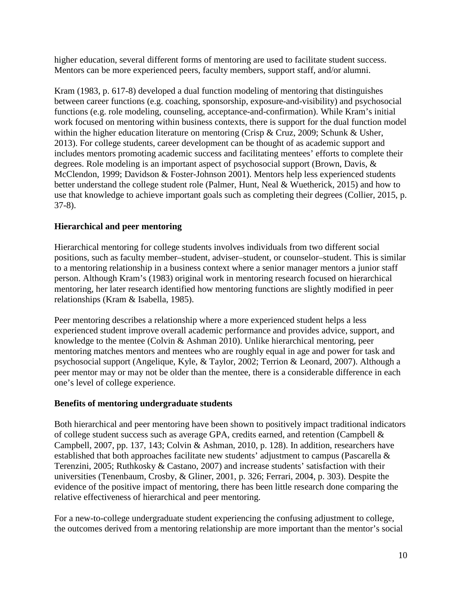higher education, several different forms of mentoring are used to facilitate student success. Mentors can be more experienced peers, faculty members, support staff, and/or alumni.

Kram (1983, p. 617-8) developed a dual function modeling of mentoring that distinguishes between career functions (e.g. coaching, sponsorship, exposure-and-visibility) and psychosocial functions (e.g. role modeling, counseling, acceptance-and-confirmation). While Kram's initial work focused on mentoring within business contexts, there is support for the dual function model within the higher education literature on mentoring (Crisp & Cruz, 2009; Schunk & Usher, 2013). For college students, career development can be thought of as academic support and includes mentors promoting academic success and facilitating mentees' efforts to complete their degrees. Role modeling is an important aspect of psychosocial support (Brown, Davis, & McClendon, 1999; Davidson & Foster-Johnson 2001). Mentors help less experienced students better understand the college student role (Palmer, Hunt, Neal & Wuetherick, 2015) and how to use that knowledge to achieve important goals such as completing their degrees (Collier, 2015, p. 37-8).

# **Hierarchical and peer mentoring**

Hierarchical mentoring for college students involves individuals from two different social positions, such as faculty member–student, adviser–student, or counselor–student. This is similar to a mentoring relationship in a business context where a senior manager mentors a junior staff person. Although Kram's (1983) original work in mentoring research focused on hierarchical mentoring, her later research identified how mentoring functions are slightly modified in peer relationships (Kram & Isabella, 1985).

Peer mentoring describes a relationship where a more experienced student helps a less experienced student improve overall academic performance and provides advice, support, and knowledge to the mentee (Colvin & Ashman 2010). Unlike hierarchical mentoring, peer mentoring matches mentors and mentees who are roughly equal in age and power for task and psychosocial support (Angelique, Kyle, & Taylor, 2002; Terrion & Leonard, 2007). Although a peer mentor may or may not be older than the mentee, there is a considerable difference in each one's level of college experience.

## **Benefits of mentoring undergraduate students**

Both hierarchical and peer mentoring have been shown to positively impact traditional indicators of college student success such as average GPA, credits earned, and retention (Campbell & Campbell, 2007, pp. 137, 143; Colvin & Ashman, 2010, p. 128). In addition, researchers have established that both approaches facilitate new students' adjustment to campus (Pascarella & Terenzini, 2005; Ruthkosky & Castano, 2007) and increase students' satisfaction with their universities (Tenenbaum, Crosby, & Gliner, 2001, p. 326; Ferrari, 2004, p. 303). Despite the evidence of the positive impact of mentoring, there has been little research done comparing the relative effectiveness of hierarchical and peer mentoring.

For a new-to-college undergraduate student experiencing the confusing adjustment to college, the outcomes derived from a mentoring relationship are more important than the mentor's social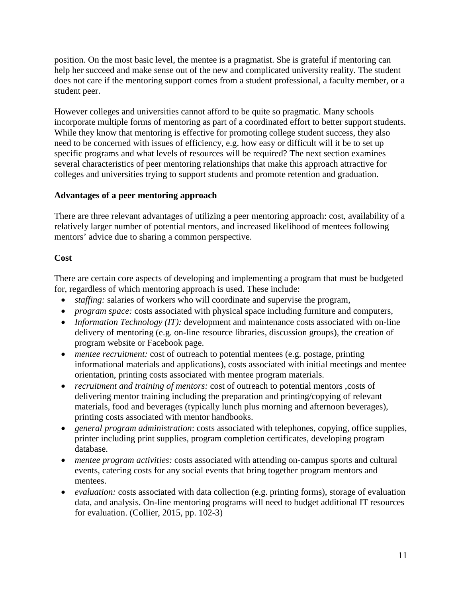position. On the most basic level, the mentee is a pragmatist. She is grateful if mentoring can help her succeed and make sense out of the new and complicated university reality. The student does not care if the mentoring support comes from a student professional, a faculty member, or a student peer.

However colleges and universities cannot afford to be quite so pragmatic. Many schools incorporate multiple forms of mentoring as part of a coordinated effort to better support students. While they know that mentoring is effective for promoting college student success, they also need to be concerned with issues of efficiency, e.g. how easy or difficult will it be to set up specific programs and what levels of resources will be required? The next section examines several characteristics of peer mentoring relationships that make this approach attractive for colleges and universities trying to support students and promote retention and graduation.

## **Advantages of a peer mentoring approach**

There are three relevant advantages of utilizing a peer mentoring approach: cost, availability of a relatively larger number of potential mentors, and increased likelihood of mentees following mentors' advice due to sharing a common perspective.

# **Cost**

There are certain core aspects of developing and implementing a program that must be budgeted for, regardless of which mentoring approach is used. These include:

- *staffing:* salaries of workers who will coordinate and supervise the program,
- *program space:* costs associated with physical space including furniture and computers*,*
- *Information Technology (IT):* development and maintenance costs associated with on-line delivery of mentoring (e.g. on-line resource libraries, discussion groups), the creation of program website or Facebook page.
- *mentee recruitment:* cost of outreach to potential mentees (e.g. postage, printing informational materials and applications), costs associated with initial meetings and mentee orientation, printing costs associated with mentee program materials.
- *recruitment and training of mentors:* cost of outreach to potential mentors ,costs of delivering mentor training including the preparation and printing/copying of relevant materials, food and beverages (typically lunch plus morning and afternoon beverages), printing costs associated with mentor handbooks.
- *general program administration*: costs associated with telephones, copying, office supplies, printer including print supplies, program completion certificates, developing program database.
- *mentee program activities:* costs associated with attending on-campus sports and cultural events, catering costs for any social events that bring together program mentors and mentees.
- *evaluation:* costs associated with data collection (e.g. printing forms), storage of evaluation data, and analysis. On-line mentoring programs will need to budget additional IT resources for evaluation. (Collier, 2015, pp. 102-3)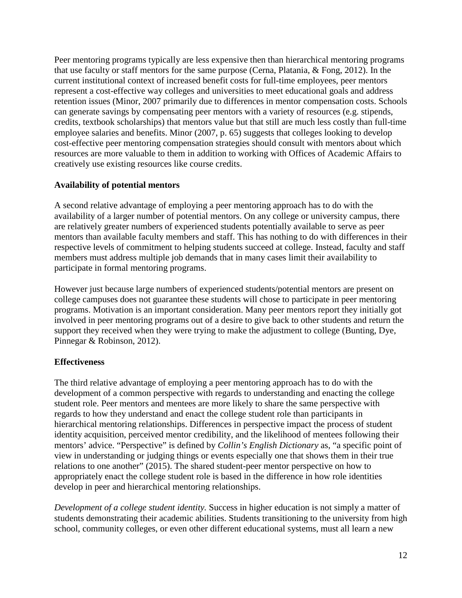Peer mentoring programs typically are less expensive then than hierarchical mentoring programs that use faculty or staff mentors for the same purpose (Cerna, Platania, & Fong, 2012). In the current institutional context of increased benefit costs for full-time employees, peer mentors represent a cost-effective way colleges and universities to meet educational goals and address retention issues (Minor, 2007 primarily due to differences in mentor compensation costs. Schools can generate savings by compensating peer mentors with a variety of resources (e.g. stipends, credits, textbook scholarships) that mentors value but that still are much less costly than full-time employee salaries and benefits. Minor (2007, p. 65) suggests that colleges looking to develop cost-effective peer mentoring compensation strategies should consult with mentors about which resources are more valuable to them in addition to working with Offices of Academic Affairs to creatively use existing resources like course credits.

# **Availability of potential mentors**

A second relative advantage of employing a peer mentoring approach has to do with the availability of a larger number of potential mentors. On any college or university campus, there are relatively greater numbers of experienced students potentially available to serve as peer mentors than available faculty members and staff. This has nothing to do with differences in their respective levels of commitment to helping students succeed at college. Instead, faculty and staff members must address multiple job demands that in many cases limit their availability to participate in formal mentoring programs.

However just because large numbers of experienced students/potential mentors are present on college campuses does not guarantee these students will chose to participate in peer mentoring programs. Motivation is an important consideration. Many peer mentors report they initially got involved in peer mentoring programs out of a desire to give back to other students and return the support they received when they were trying to make the adjustment to college (Bunting, Dye, Pinnegar & Robinson, 2012).

# **Effectiveness**

The third relative advantage of employing a peer mentoring approach has to do with the development of a common perspective with regards to understanding and enacting the college student role. Peer mentors and mentees are more likely to share the same perspective with regards to how they understand and enact the college student role than participants in hierarchical mentoring relationships. Differences in perspective impact the process of student identity acquisition, perceived mentor credibility, and the likelihood of mentees following their mentors' advice. "Perspective" is defined by *Collin's English Dictionary* as, "a specific point of view in understanding or judging things or events especially one that shows them in their true relations to one another" (2015). The shared student-peer mentor perspective on how to appropriately enact the college student role is based in the difference in how role identities develop in peer and hierarchical mentoring relationships.

*Development of a college student identity.* Success in higher education is not simply a matter of students demonstrating their academic abilities. Students transitioning to the university from high school, community colleges, or even other different educational systems, must all learn a new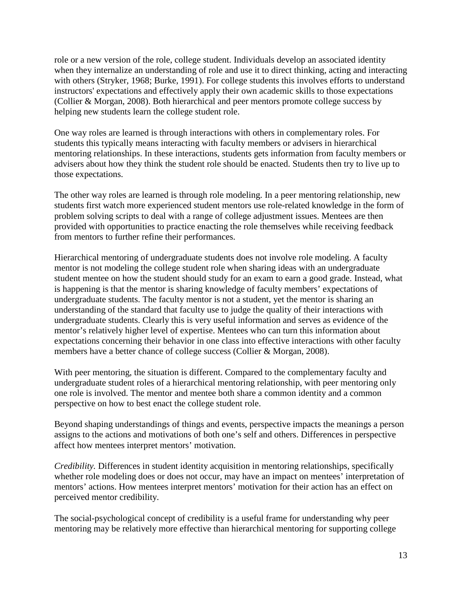role or a new version of the role, college student. Individuals develop an associated identity when they internalize an understanding of role and use it to direct thinking, acting and interacting with others (Stryker, 1968; Burke, 1991). For college students this involves efforts to understand instructors' expectations and effectively apply their own academic skills to those expectations (Collier & Morgan, 2008). Both hierarchical and peer mentors promote college success by helping new students learn the college student role.

One way roles are learned is through interactions with others in complementary roles. For students this typically means interacting with faculty members or advisers in hierarchical mentoring relationships. In these interactions, students gets information from faculty members or advisers about how they think the student role should be enacted. Students then try to live up to those expectations.

The other way roles are learned is through role modeling. In a peer mentoring relationship, new students first watch more experienced student mentors use role-related knowledge in the form of problem solving scripts to deal with a range of college adjustment issues. Mentees are then provided with opportunities to practice enacting the role themselves while receiving feedback from mentors to further refine their performances.

Hierarchical mentoring of undergraduate students does not involve role modeling. A faculty mentor is not modeling the college student role when sharing ideas with an undergraduate student mentee on how the student should study for an exam to earn a good grade. Instead, what is happening is that the mentor is sharing knowledge of faculty members' expectations of undergraduate students. The faculty mentor is not a student, yet the mentor is sharing an understanding of the standard that faculty use to judge the quality of their interactions with undergraduate students. Clearly this is very useful information and serves as evidence of the mentor's relatively higher level of expertise. Mentees who can turn this information about expectations concerning their behavior in one class into effective interactions with other faculty members have a better chance of college success (Collier & Morgan, 2008).

With peer mentoring, the situation is different. Compared to the complementary faculty and undergraduate student roles of a hierarchical mentoring relationship, with peer mentoring only one role is involved. The mentor and mentee both share a common identity and a common perspective on how to best enact the college student role.

Beyond shaping understandings of things and events, perspective impacts the meanings a person assigns to the actions and motivations of both one's self and others. Differences in perspective affect how mentees interpret mentors' motivation.

*Credibility.* Differences in student identity acquisition in mentoring relationships, specifically whether role modeling does or does not occur, may have an impact on mentees' interpretation of mentors' actions. How mentees interpret mentors' motivation for their action has an effect on perceived mentor credibility.

The social-psychological concept of credibility is a useful frame for understanding why peer mentoring may be relatively more effective than hierarchical mentoring for supporting college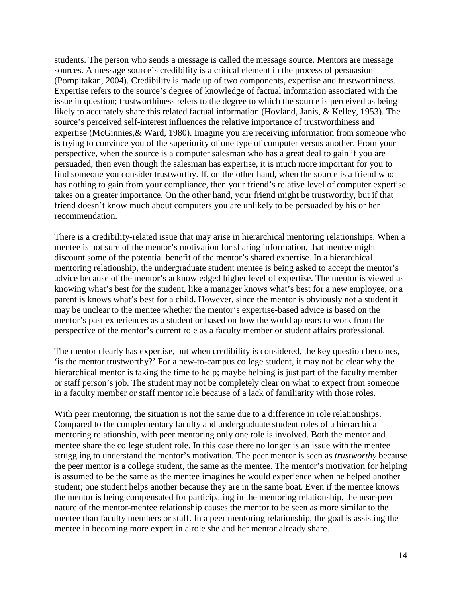students. The person who sends a message is called the message source. Mentors are message sources. A message source's credibility is a critical element in the process of persuasion (Pornpitakan, 2004). Credibility is made up of two components, expertise and trustworthiness. Expertise refers to the source's degree of knowledge of factual information associated with the issue in question; trustworthiness refers to the degree to which the source is perceived as being likely to accurately share this related factual information (Hovland, Janis, & Kelley, 1953). The source's perceived self-interest influences the relative importance of trustworthiness and expertise (McGinnies,& Ward, 1980). Imagine you are receiving information from someone who is trying to convince you of the superiority of one type of computer versus another. From your perspective, when the source is a computer salesman who has a great deal to gain if you are persuaded, then even though the salesman has expertise, it is much more important for you to find someone you consider trustworthy. If, on the other hand, when the source is a friend who has nothing to gain from your compliance, then your friend's relative level of computer expertise takes on a greater importance. On the other hand, your friend might be trustworthy, but if that friend doesn't know much about computers you are unlikely to be persuaded by his or her recommendation.

There is a credibility-related issue that may arise in hierarchical mentoring relationships. When a mentee is not sure of the mentor's motivation for sharing information, that mentee might discount some of the potential benefit of the mentor's shared expertise. In a hierarchical mentoring relationship, the undergraduate student mentee is being asked to accept the mentor's advice because of the mentor's acknowledged higher level of expertise. The mentor is viewed as knowing what's best for the student, like a manager knows what's best for a new employee, or a parent is knows what's best for a child. However, since the mentor is obviously not a student it may be unclear to the mentee whether the mentor's expertise-based advice is based on the mentor's past experiences as a student or based on how the world appears to work from the perspective of the mentor's current role as a faculty member or student affairs professional.

The mentor clearly has expertise, but when credibility is considered, the key question becomes, 'is the mentor trustworthy?' For a new-to-campus college student, it may not be clear why the hierarchical mentor is taking the time to help; maybe helping is just part of the faculty member or staff person's job. The student may not be completely clear on what to expect from someone in a faculty member or staff mentor role because of a lack of familiarity with those roles.

With peer mentoring, the situation is not the same due to a difference in role relationships. Compared to the complementary faculty and undergraduate student roles of a hierarchical mentoring relationship, with peer mentoring only one role is involved. Both the mentor and mentee share the college student role. In this case there no longer is an issue with the mentee struggling to understand the mentor's motivation. The peer mentor is seen as *trustworthy* because the peer mentor is a college student, the same as the mentee. The mentor's motivation for helping is assumed to be the same as the mentee imagines he would experience when he helped another student; one student helps another because they are in the same boat. Even if the mentee knows the mentor is being compensated for participating in the mentoring relationship, the near-peer nature of the mentor-mentee relationship causes the mentor to be seen as more similar to the mentee than faculty members or staff. In a peer mentoring relationship, the goal is assisting the mentee in becoming more expert in a role she and her mentor already share.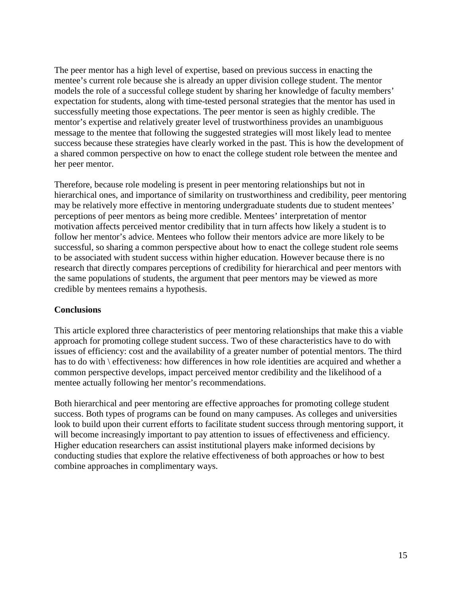The peer mentor has a high level of expertise, based on previous success in enacting the mentee's current role because she is already an upper division college student. The mentor models the role of a successful college student by sharing her knowledge of faculty members' expectation for students, along with time-tested personal strategies that the mentor has used in successfully meeting those expectations. The peer mentor is seen as highly credible. The mentor's expertise and relatively greater level of trustworthiness provides an unambiguous message to the mentee that following the suggested strategies will most likely lead to mentee success because these strategies have clearly worked in the past. This is how the development of a shared common perspective on how to enact the college student role between the mentee and her peer mentor.

Therefore, because role modeling is present in peer mentoring relationships but not in hierarchical ones, and importance of similarity on trustworthiness and credibility, peer mentoring may be relatively more effective in mentoring undergraduate students due to student mentees' perceptions of peer mentors as being more credible. Mentees' interpretation of mentor motivation affects perceived mentor credibility that in turn affects how likely a student is to follow her mentor's advice. Mentees who follow their mentors advice are more likely to be successful, so sharing a common perspective about how to enact the college student role seems to be associated with student success within higher education. However because there is no research that directly compares perceptions of credibility for hierarchical and peer mentors with the same populations of students, the argument that peer mentors may be viewed as more credible by mentees remains a hypothesis.

## **Conclusions**

This article explored three characteristics of peer mentoring relationships that make this a viable approach for promoting college student success. Two of these characteristics have to do with issues of efficiency: cost and the availability of a greater number of potential mentors. The third has to do with \ effectiveness: how differences in how role identities are acquired and whether a common perspective develops, impact perceived mentor credibility and the likelihood of a mentee actually following her mentor's recommendations.

Both hierarchical and peer mentoring are effective approaches for promoting college student success. Both types of programs can be found on many campuses. As colleges and universities look to build upon their current efforts to facilitate student success through mentoring support, it will become increasingly important to pay attention to issues of effectiveness and efficiency. Higher education researchers can assist institutional players make informed decisions by conducting studies that explore the relative effectiveness of both approaches or how to best combine approaches in complimentary ways.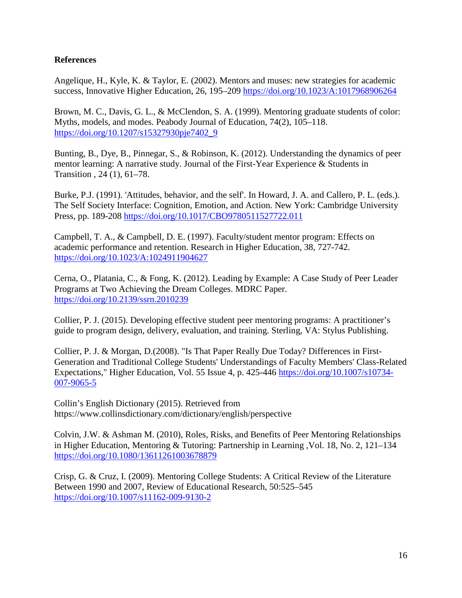## **References**

Angelique, H., Kyle, K. & Taylor, E. (2002). Mentors and muses: new strategies for academic success, Innovative Higher Education, 26, 195–209 <https://doi.org/10.1023/A:1017968906264>

Brown, M. C., Davis, G. L., & McClendon, S. A. (1999). Mentoring graduate students of color: Myths, models, and modes. Peabody Journal of Education, 74(2), 105–118. [https://doi.org/10.1207/s15327930pje7402\\_9](https://doi.org/10.1207/s15327930pje7402_9)

Bunting, B., Dye, B., Pinnegar, S., & Robinson, K. (2012). Understanding the dynamics of peer mentor learning: A narrative study. Journal of the First-Year Experience & Students in Transition , 24 (1), 61–78.

Burke, P.J. (1991). 'Attitudes, behavior, and the self'. In Howard, J. A. and Callero, P. L. (eds.). The Self Society Interface: Cognition, Emotion, and Action. New York: Cambridge University Press, pp. 189-208 <https://doi.org/10.1017/CBO9780511527722.011>

Campbell, T. A., & Campbell, D. E. (1997). Faculty/student mentor program: Effects on academic performance and retention. Research in Higher Education, 38, 727-742. <https://doi.org/10.1023/A:1024911904627>

Cerna, O., Platania, C., & Fong, K. (2012). Leading by Example: A Case Study of Peer Leader Programs at Two Achieving the Dream Colleges. MDRC Paper. <https://doi.org/10.2139/ssrn.2010239>

Collier, P. J. (2015). Developing effective student peer mentoring programs: A practitioner's guide to program design, delivery, evaluation, and training. Sterling, VA: Stylus Publishing.

Collier, P. J. & Morgan, D.(2008). "Is That Paper Really Due Today? Differences in First-Generation and Traditional College Students' Understandings of Faculty Members' Class-Related Expectations," Higher Education, Vol. 55 Issue 4, p. 425-446 [https://doi.org/10.1007/s10734-](https://doi.org/10.1007/s10734-007-9065-5) [007-9065-5](https://doi.org/10.1007/s10734-007-9065-5)

Collin's English Dictionary (2015). Retrieved from <https://www.collinsdictionary.com/dictionary/english/perspective>

Colvin, J.W. & Ashman M. (2010), Roles, Risks, and Benefits of Peer Mentoring Relationships in Higher Education, Mentoring & Tutoring: Partnership in Learning ,Vol. 18, No. 2, 121–134 <https://doi.org/10.1080/13611261003678879>

Crisp, G. & Cruz, I. (2009). Mentoring College Students: A Critical Review of the Literature Between 1990 and 2007, Review of Educational Research, 50:525–545 <https://doi.org/10.1007/s11162-009-9130-2>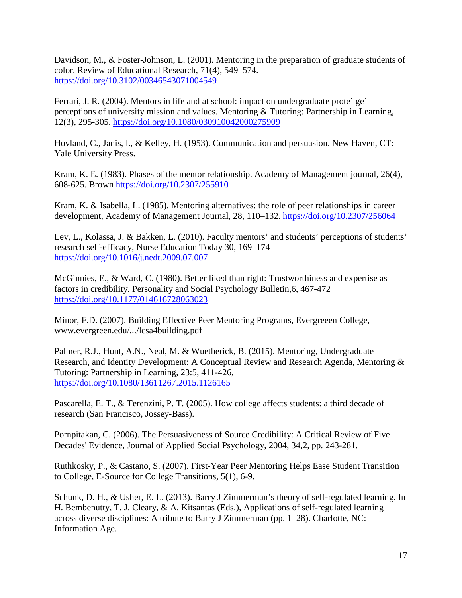Davidson, M., & Foster-Johnson, L. (2001). Mentoring in the preparation of graduate students of color. Review of Educational Research, 71(4), 549–574. <https://doi.org/10.3102/00346543071004549>

Ferrari, J. R. (2004). Mentors in life and at school: impact on undergraduate prote´ ge´ perceptions of university mission and values. Mentoring & Tutoring: Partnership in Learning, 12(3), 295-305. <https://doi.org/10.1080/030910042000275909>

Hovland, C., Janis, I., & Kelley, H. (1953). Communication and persuasion. New Haven, CT: Yale University Press.

Kram, K. E. (1983). Phases of the mentor relationship. Academy of Management journal, 26(4), 608-625. Brown <https://doi.org/10.2307/255910>

Kram, K. & Isabella, L. (1985). Mentoring alternatives: the role of peer relationships in career development, Academy of Management Journal, 28, 110–132. <https://doi.org/10.2307/256064>

Lev, L., Kolassa, J. & Bakken, L. (2010). Faculty mentors' and students' perceptions of students' research self-efficacy, Nurse Education Today 30, 169–174 <https://doi.org/10.1016/j.nedt.2009.07.007>

McGinnies, E., & Ward, C. (1980). Better liked than right: Trustworthiness and expertise as factors in credibility. Personality and Social Psychology Bulletin,6, 467-472 <https://doi.org/10.1177/014616728063023>

Minor, F.D. (2007). Building Effective Peer Mentoring Programs, Evergreeen College, [www.evergreen.edu/.../lcsa4building.pdf](http://www.evergreen.edu/.../lcsa4building.pdf)

Palmer, R.J., Hunt, A.N., Neal, M. & Wuetherick, B. (2015). Mentoring, Undergraduate Research, and Identity Development: A Conceptual Review and Research Agenda, Mentoring & Tutoring: Partnership in Learning, 23:5, 411-426, <https://doi.org/10.1080/13611267.2015.1126165>

Pascarella, E. T., & Terenzini, P. T. (2005). How college affects students: a third decade of research (San Francisco, Jossey-Bass).

Pornpitakan, C. (2006). The Persuasiveness of Source Credibility: A Critical Review of Five Decades' Evidence, Journal of Applied Social Psychology, 2004, 34,2, pp. 243-281.

Ruthkosky, P., & Castano, S. (2007). First-Year Peer Mentoring Helps Ease Student Transition to College, E-Source for College Transitions, 5(1), 6-9.

Schunk, D. H., & Usher, E. L. (2013). Barry J Zimmerman's theory of self-regulated learning. In H. Bembenutty, T. J. Cleary, & A. Kitsantas (Eds.), Applications of self-regulated learning across diverse disciplines: A tribute to Barry J Zimmerman (pp. 1–28). Charlotte, NC: Information Age.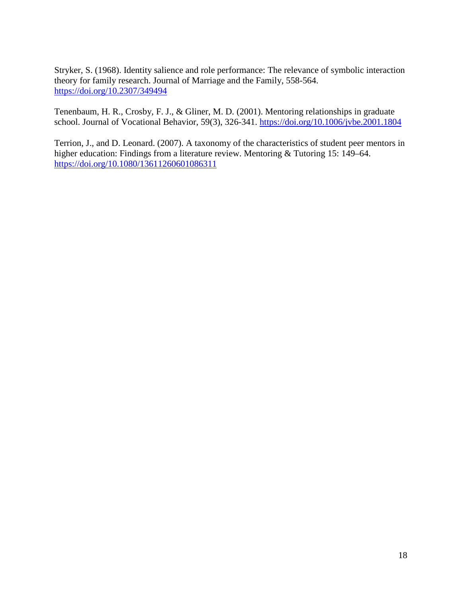Stryker, S. (1968). Identity salience and role performance: The relevance of symbolic interaction theory for family research. Journal of Marriage and the Family, 558-564. <https://doi.org/10.2307/349494>

Tenenbaum, H. R., Crosby, F. J., & Gliner, M. D. (2001). Mentoring relationships in graduate school. Journal of Vocational Behavior, 59(3), 326-341. <https://doi.org/10.1006/jvbe.2001.1804>

Terrion, J., and D. Leonard. (2007). A taxonomy of the characteristics of student peer mentors in higher education: Findings from a literature review. Mentoring & Tutoring 15: 149–64. <https://doi.org/10.1080/13611260601086311>